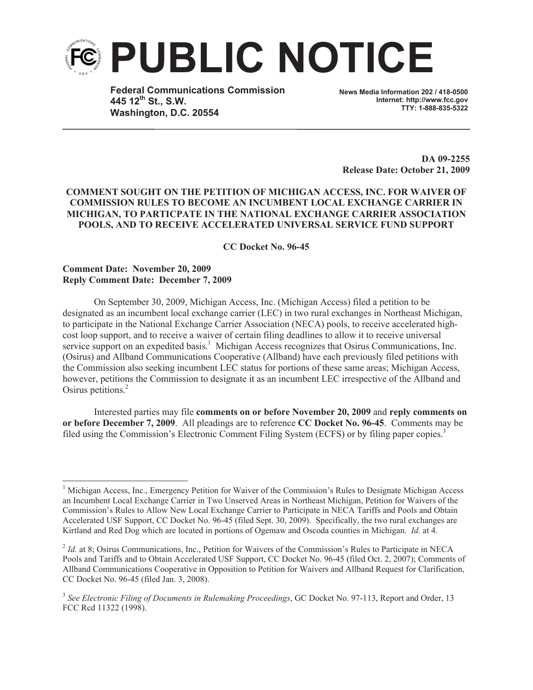

**Federal Communications Commission 445 12th St., S.W. Washington, D.C. 20554**

**News Media Information 202 / 418-0500 Internet: http://www.fcc.gov TTY: 1-888-835-5322**

**DA 09-2255 Release Date: October 21, 2009**

## **COMMENT SOUGHT ON THE PETITION OF MICHIGAN ACCESS, INC. FOR WAIVER OF COMMISSION RULES TO BECOME AN INCUMBENT LOCAL EXCHANGE CARRIER IN MICHIGAN, TO PARTICPATE IN THE NATIONAL EXCHANGE CARRIER ASSOCIATION POOLS, AND TO RECEIVE ACCELERATED UNIVERSAL SERVICE FUND SUPPORT**

**CC Docket No. 96-45**

## **Comment Date: November 20, 2009 Reply Comment Date: December 7, 2009**

On September 30, 2009, Michigan Access, Inc. (Michigan Access) filed a petition to be designated as an incumbent local exchange carrier (LEC) in two rural exchanges in Northeast Michigan, to participate in the National Exchange Carrier Association (NECA) pools, to receive accelerated highcost loop support, and to receive a waiver of certain filing deadlines to allow it to receive universal service support on an expedited basis.<sup>1</sup> Michigan Access recognizes that Osirus Communications, Inc. (Osirus) and Allband Communications Cooperative (Allband) have each previously filed petitions with the Commission also seeking incumbent LEC status for portions of these same areas; Michigan Access, however, petitions the Commission to designate it as an incumbent LEC irrespective of the Allband and Osirus petitions.<sup>2</sup>

Interested parties may file **comments on or before November 20, 2009** and **reply comments on or before December 7, 2009**. All pleadings are to reference **CC Docket No. 96-45**. Comments may be filed using the Commission's Electronic Comment Filing System (ECFS) or by filing paper copies.<sup>3</sup>

<sup>&</sup>lt;sup>1</sup> Michigan Access, Inc., Emergency Petition for Waiver of the Commission's Rules to Designate Michigan Access an Incumbent Local Exchange Carrier in Two Unserved Areas in Northeast Michigan, Petition for Waivers of the Commission's Rules to Allow New Local Exchange Carrier to Participate in NECA Tariffs and Pools and Obtain Accelerated USF Support, CC Docket No. 96-45 (filed Sept. 30, 2009). Specifically, the two rural exchanges are Kirtland and Red Dog which are located in portions of Ogemaw and Oscoda counties in Michigan. *Id.* at 4.

<sup>&</sup>lt;sup>2</sup> *Id.* at 8; Osirus Communications, Inc., Petition for Waivers of the Commission's Rules to Participate in NECA Pools and Tariffs and to Obtain Accelerated USF Support, CC Docket No. 96-45 (filed Oct. 2, 2007); Comments of Allband Communications Cooperative in Opposition to Petition for Waivers and Allband Request for Clarification, CC Docket No. 96-45 (filed Jan. 3, 2008).

<sup>&</sup>lt;sup>3</sup> See Electronic Filing of Documents in Rulemaking Proceedings, GC Docket No. 97-113, Report and Order, 13 FCC Rcd 11322 (1998).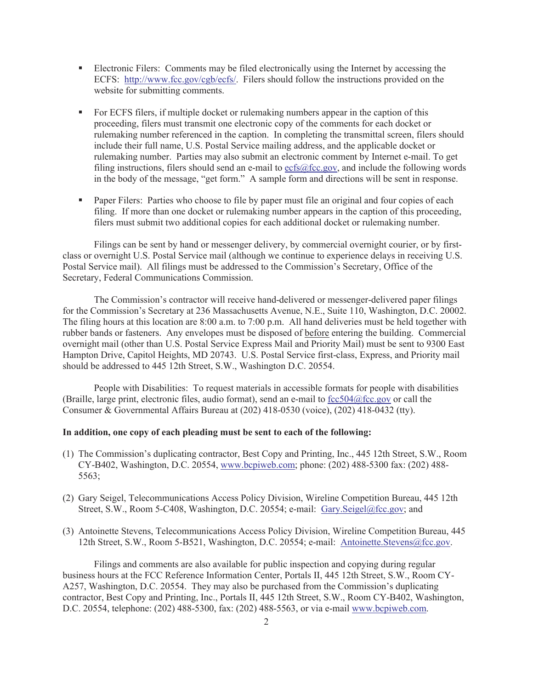- Electronic Filers: Comments may be filed electronically using the Internet by accessing the ECFS: http://www.fcc.gov/cgb/ecfs/. Filers should follow the instructions provided on the website for submitting comments.
- For ECFS filers, if multiple docket or rulemaking numbers appear in the caption of this proceeding, filers must transmit one electronic copy of the comments for each docket or rulemaking number referenced in the caption. In completing the transmittal screen, filers should include their full name, U.S. Postal Service mailing address, and the applicable docket or rulemaking number. Parties may also submit an electronic comment by Internet e-mail. To get filing instructions, filers should send an e-mail to ecfs@fcc.gov, and include the following words in the body of the message, "get form." A sample form and directions will be sent in response.
- Paper Filers: Parties who choose to file by paper must file an original and four copies of each filing. If more than one docket or rulemaking number appears in the caption of this proceeding, filers must submit two additional copies for each additional docket or rulemaking number.

Filings can be sent by hand or messenger delivery, by commercial overnight courier, or by firstclass or overnight U.S. Postal Service mail (although we continue to experience delays in receiving U.S. Postal Service mail). All filings must be addressed to the Commission's Secretary, Office of the Secretary, Federal Communications Commission.

The Commission's contractor will receive hand-delivered or messenger-delivered paper filings for the Commission's Secretary at 236 Massachusetts Avenue, N.E., Suite 110, Washington, D.C. 20002. The filing hours at this location are 8:00 a.m. to 7:00 p.m. All hand deliveries must be held together with rubber bands or fasteners. Any envelopes must be disposed of before entering the building. Commercial overnight mail (other than U.S. Postal Service Express Mail and Priority Mail) must be sent to 9300 East Hampton Drive, Capitol Heights, MD 20743. U.S. Postal Service first-class, Express, and Priority mail should be addressed to 445 12th Street, S.W., Washington D.C. 20554.

People with Disabilities: To request materials in accessible formats for people with disabilities (Braille, large print, electronic files, audio format), send an e-mail to fcc504@fcc.gov or call the Consumer & Governmental Affairs Bureau at (202) 418-0530 (voice), (202) 418-0432 (tty).

## **In addition, one copy of each pleading must be sent to each of the following:**

- (1) The Commission's duplicating contractor, Best Copy and Printing, Inc., 445 12th Street, S.W., Room CY-B402, Washington, D.C. 20554, www.bcpiweb.com; phone: (202) 488-5300 fax: (202) 488- 5563;
- (2) Gary Seigel, Telecommunications Access Policy Division, Wireline Competition Bureau, 445 12th Street, S.W., Room 5-C408, Washington, D.C. 20554; e-mail: Gary.Seigel@fcc.gov; and
- (3) Antoinette Stevens, Telecommunications Access Policy Division, Wireline Competition Bureau, 445 12th Street, S.W., Room 5-B521, Washington, D.C. 20554; e-mail: Antoinette.Stevens@fcc.gov.

Filings and comments are also available for public inspection and copying during regular business hours at the FCC Reference Information Center, Portals II, 445 12th Street, S.W., Room CY-A257, Washington, D.C. 20554. They may also be purchased from the Commission's duplicating contractor, Best Copy and Printing, Inc., Portals II, 445 12th Street, S.W., Room CY-B402, Washington, D.C. 20554, telephone: (202) 488-5300, fax: (202) 488-5563, or via e-mail www.bcpiweb.com.